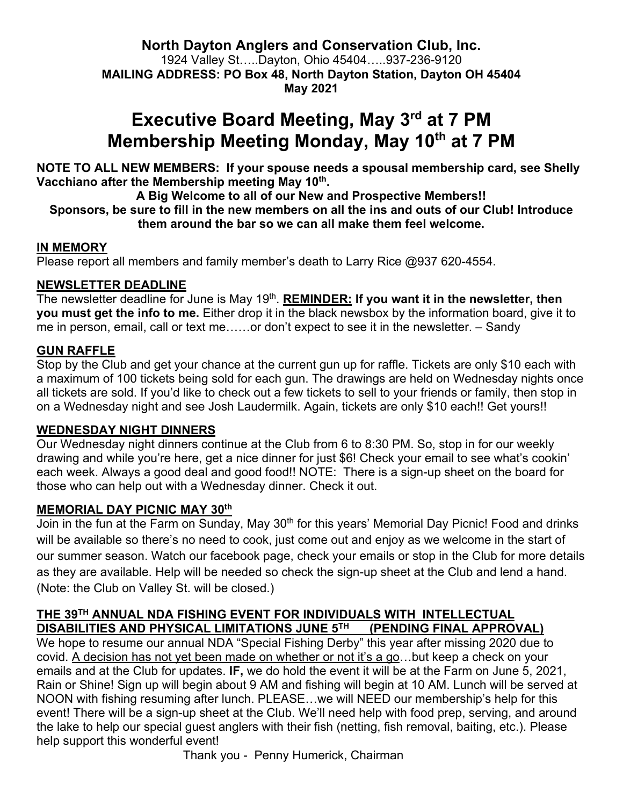**North Dayton Anglers and Conservation Club, Inc.** 1924 Valley St…..Dayton, Ohio 45404…..937-236-9120 **MAILING ADDRESS: PO Box 48, North Dayton Station, Dayton OH 45404 May 2021**

# **Executive Board Meeting, May 3rd at 7 PM Membership Meeting Monday, May 10th at 7 PM**

**NOTE TO ALL NEW MEMBERS: If your spouse needs a spousal membership card, see Shelly**  Vacchiano after the Membership meeting May 10<sup>th</sup>.

**A Big Welcome to all of our New and Prospective Members!! Sponsors, be sure to fill in the new members on all the ins and outs of our Club! Introduce** 

#### **them around the bar so we can all make them feel welcome.**

#### **IN MEMORY**

Please report all members and family member's death to Larry Rice @937 620-4554.

#### **NEWSLETTER DEADLINE**

The newsletter deadline for June is May 19<sup>th</sup>. **REMINDER: If you want it in the newsletter, then you must get the info to me.** Either drop it in the black newsbox by the information board, give it to me in person, email, call or text me……or don't expect to see it in the newsletter. – Sandy

#### **GUN RAFFLE**

Stop by the Club and get your chance at the current gun up for raffle. Tickets are only \$10 each with a maximum of 100 tickets being sold for each gun. The drawings are held on Wednesday nights once all tickets are sold. If you'd like to check out a few tickets to sell to your friends or family, then stop in on a Wednesday night and see Josh Laudermilk. Again, tickets are only \$10 each!! Get yours!!

#### **WEDNESDAY NIGHT DINNERS**

Our Wednesday night dinners continue at the Club from 6 to 8:30 PM. So, stop in for our weekly drawing and while you're here, get a nice dinner for just \$6! Check your email to see what's cookin' each week. Always a good deal and good food!! NOTE: There is a sign-up sheet on the board for those who can help out with a Wednesday dinner. Check it out.

#### **MEMORIAL DAY PICNIC MAY 30th**

Join in the fun at the Farm on Sunday, May 30<sup>th</sup> for this years' Memorial Day Picnic! Food and drinks will be available so there's no need to cook, just come out and enjoy as we welcome in the start of our summer season. Watch our facebook page, check your emails or stop in the Club for more details as they are available. Help will be needed so check the sign-up sheet at the Club and lend a hand. (Note: the Club on Valley St. will be closed.)

#### **THE 39TH ANNUAL NDA FISHING EVENT FOR INDIVIDUALS WITH INTELLECTUAL DISABILITIES AND PHYSICAL LIMITATIONS JUNE 5TH (PENDING FINAL APPROVAL)**

We hope to resume our annual NDA "Special Fishing Derby" this year after missing 2020 due to covid. A decision has not yet been made on whether or not it's a go…but keep a check on your emails and at the Club for updates. **IF,** we do hold the event it will be at the Farm on June 5, 2021, Rain or Shine! Sign up will begin about 9 AM and fishing will begin at 10 AM. Lunch will be served at NOON with fishing resuming after lunch. PLEASE…we will NEED our membership's help for this event! There will be a sign-up sheet at the Club. We'll need help with food prep, serving, and around the lake to help our special guest anglers with their fish (netting, fish removal, baiting, etc.). Please help support this wonderful event!

Thank you - Penny Humerick, Chairman